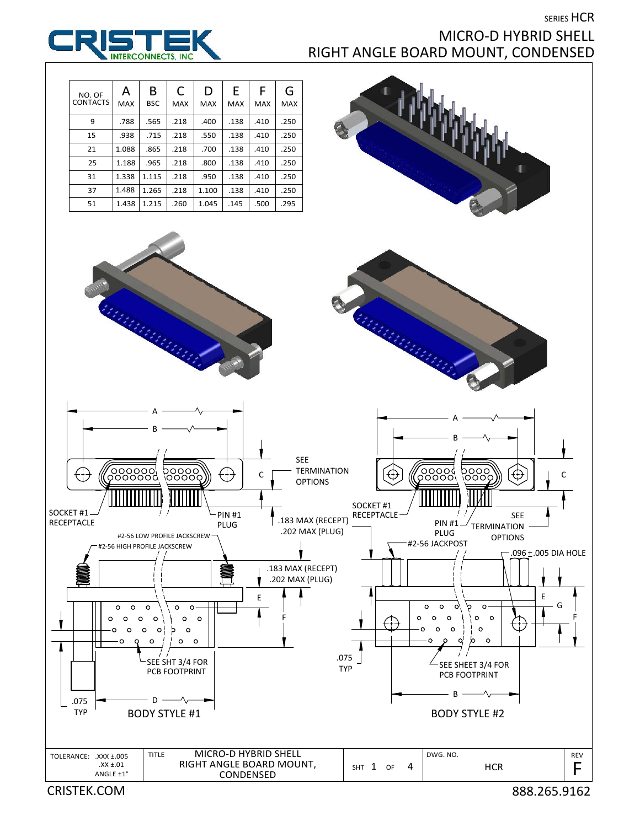SERIES HCR



## MICRO‐D HYBRID SHELL RIGHT ANGLE BOARD MOUNT, CONDENSED

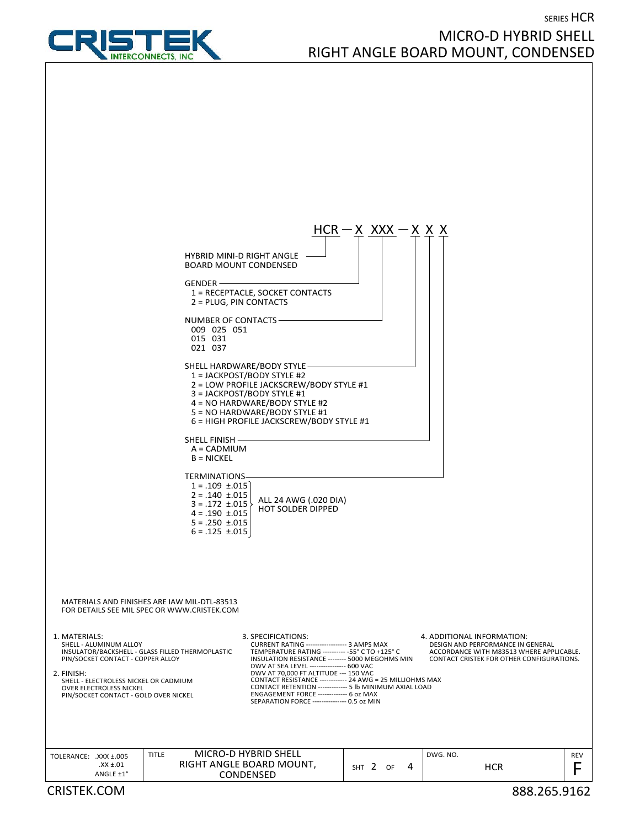SERIES HCR

MICRO‐D HYBRID SHELL

RIGHT ANGLE BOARD MOUNT, CONDENSED



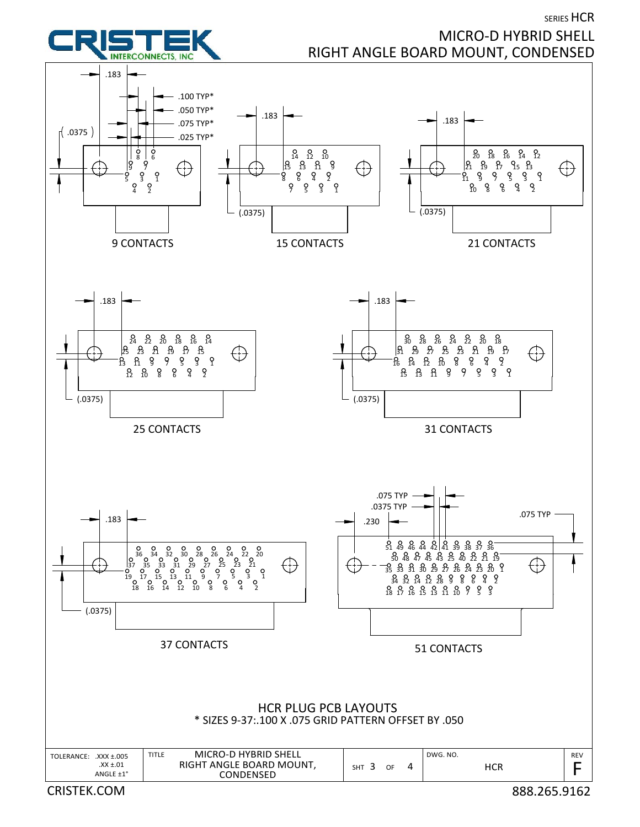



## MICRO‐D HYBRID SHELL RIGHT ANGLE BOARD MOUNT, CONDENSED